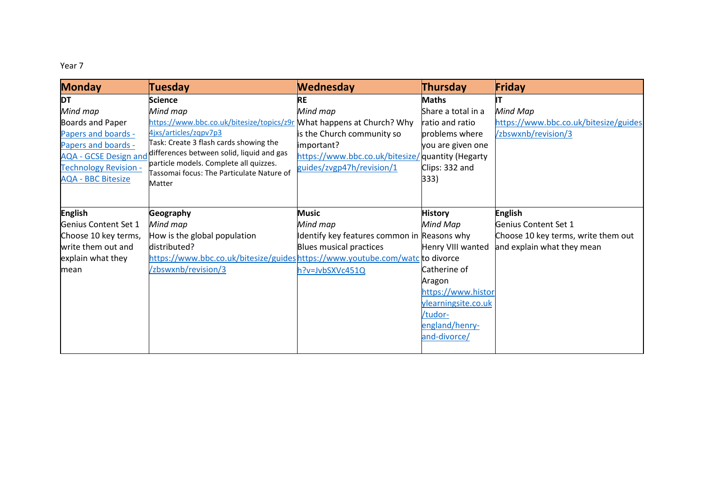## Year 7

| <b>Monday</b>                | <b>Tuesday</b>                                                                      | <b>Wednesday</b>                                  | Thursday            | Friday                                |
|------------------------------|-------------------------------------------------------------------------------------|---------------------------------------------------|---------------------|---------------------------------------|
| <b>DT</b>                    | Science                                                                             | <b>RE</b>                                         | <b>Maths</b>        |                                       |
| Mind map                     | Mind map                                                                            | Mind map                                          | Share a total in a  | Mind Map                              |
| <b>Boards and Paper</b>      | https://www.bbc.co.uk/bitesize/topics/z9r What happens at Church? Why               |                                                   | ratio and ratio     | https://www.bbc.co.uk/bitesize/guides |
| Papers and boards -          | 4jxs/articles/zqpv7p3                                                               | is the Church community so                        | problems where      | /zbswxnb/revision/3                   |
| Papers and boards -          | Task: Create 3 flash cards showing the                                              | important?                                        | you are given one   |                                       |
| <b>AQA - GCSE Design and</b> | differences between solid, liquid and gas<br>particle models. Complete all quizzes. | https://www.bbc.co.uk/bitesize/ quantity (Hegarty |                     |                                       |
| <b>Technology Revision -</b> | Tassomai focus: The Particulate Nature of                                           | guides/zvgp47h/revision/1                         | Clips: 332 and      |                                       |
| <b>AQA - BBC Bitesize</b>    | Matter                                                                              |                                                   | 333)                |                                       |
|                              |                                                                                     |                                                   |                     |                                       |
| <b>English</b>               | Geography                                                                           | <b>Music</b>                                      | <b>History</b>      | <b>English</b>                        |
| Genius Content Set 1         | Mind map                                                                            | Mind map                                          |                     | Genius Content Set 1                  |
|                              |                                                                                     |                                                   | Mind Map            |                                       |
| Choose 10 key terms,         | How is the global population                                                        | Identify key features common in Reasons why       |                     | Choose 10 key terms, write them out   |
| write them out and           | distributed?                                                                        | Blues musical practices                           | Henry VIII wanted   | and explain what they mean            |
| explain what they            | https://www.bbc.co.uk/bitesize/guideshttps://www.youtube.com/watc to divorce        |                                                   |                     |                                       |
| mean                         | /zbswxnb/revision/3                                                                 | h?v=JvbSXVc451Q                                   | Catherine of        |                                       |
|                              |                                                                                     |                                                   | Aragon              |                                       |
|                              |                                                                                     |                                                   | https://www.histor  |                                       |
|                              |                                                                                     |                                                   | ylearningsite.co.uk |                                       |
|                              |                                                                                     |                                                   | /tudor-             |                                       |
|                              |                                                                                     |                                                   | england/henry-      |                                       |
|                              |                                                                                     |                                                   | and-divorce/        |                                       |
|                              |                                                                                     |                                                   |                     |                                       |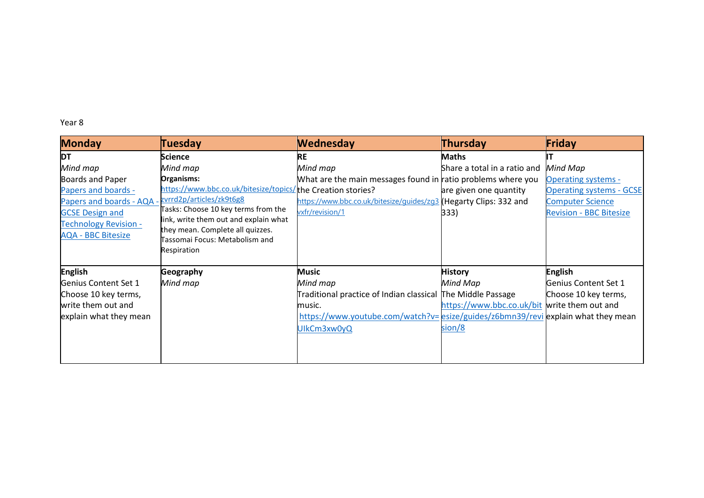Year 8

| <b>Monday</b>                | <b>Tuesday</b>                                                     | <b>Wednesday</b>                                                                  | <b>Thursday</b>                              | Friday                          |
|------------------------------|--------------------------------------------------------------------|-----------------------------------------------------------------------------------|----------------------------------------------|---------------------------------|
| <b>DT</b>                    | <b>Science</b>                                                     | RE                                                                                | <b>Maths</b>                                 |                                 |
| Mind map                     | Mind map                                                           | Mind map                                                                          | Share a total in a ratio and                 | Mind Map                        |
| Boards and Paper             | Organisms:                                                         | What are the main messages found in ratio problems where you                      |                                              | <b>Operating systems -</b>      |
| Papers and boards -          | https://www.bbc.co.uk/bitesize/topics/the Creation stories?        |                                                                                   | are given one quantity                       | <b>Operating systems - GCSE</b> |
| Papers and boards - AQA -    | zvrrd2p/articles/zk9t6g8                                           | https://www.bbc.co.uk/bitesize/guides/zg3 (Hegarty Clips: 332 and                 |                                              | <b>Computer Science</b>         |
| <b>GCSE Design and</b>       | Tasks: Choose 10 key terms from the                                | vxfr/revision/1                                                                   | 333)                                         | <b>Revision - BBC Bitesize</b>  |
| <b>Technology Revision -</b> | link, write them out and explain what                              |                                                                                   |                                              |                                 |
| <b>AQA - BBC Bitesize</b>    | they mean. Complete all quizzes.<br>Tassomai Focus: Metabolism and |                                                                                   |                                              |                                 |
|                              | Respiration                                                        |                                                                                   |                                              |                                 |
|                              |                                                                    |                                                                                   |                                              |                                 |
| <b>English</b>               | Geography                                                          | <b>Music</b>                                                                      | <b>History</b>                               | <b>English</b>                  |
| Genius Content Set 1         | Mind map                                                           | Mind map                                                                          | Mind Map                                     | Genius Content Set 1            |
| Choose 10 key terms,         |                                                                    | Traditional practice of Indian classical The Middle Passage                       |                                              | Choose 10 key terms,            |
| write them out and           |                                                                    | music.                                                                            | https://www.bbc.co.uk/bit write them out and |                                 |
| explain what they mean       |                                                                    | https://www.youtube.com/watch?v= esize/guides/z6bmn39/revi explain what they mean |                                              |                                 |
|                              |                                                                    | UlkCm3xw0yQ                                                                       | sion/8                                       |                                 |
|                              |                                                                    |                                                                                   |                                              |                                 |
|                              |                                                                    |                                                                                   |                                              |                                 |
|                              |                                                                    |                                                                                   |                                              |                                 |